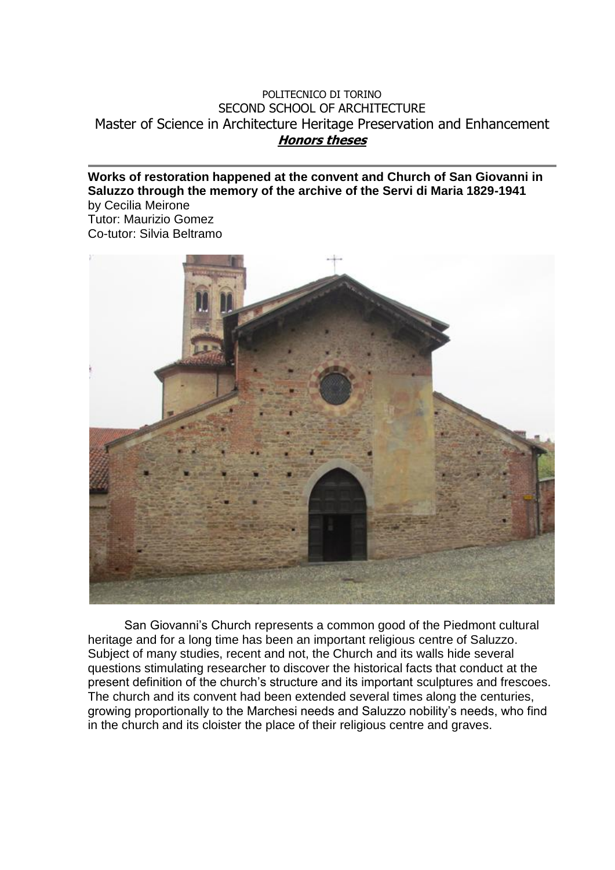## POLITECNICO DI TORINO SECOND SCHOOL OF ARCHITECTURE Master of Science in Architecture Heritage Preservation and Enhancement **Honors theses**

## **Works of restoration happened at the convent and Church of San Giovanni in Saluzzo through the memory of the archive of the Servi di Maria 1829-1941**

by Cecilia Meirone Tutor: Maurizio Gomez Co-tutor: Silvia Beltramo



San Giovanni's Church represents a common good of the Piedmont cultural heritage and for a long time has been an important religious centre of Saluzzo. Subject of many studies, recent and not, the Church and its walls hide several questions stimulating researcher to discover the historical facts that conduct at the present definition of the church's structure and its important sculptures and frescoes. The church and its convent had been extended several times along the centuries, growing proportionally to the Marchesi needs and Saluzzo nobility's needs, who find in the church and its cloister the place of their religious centre and graves.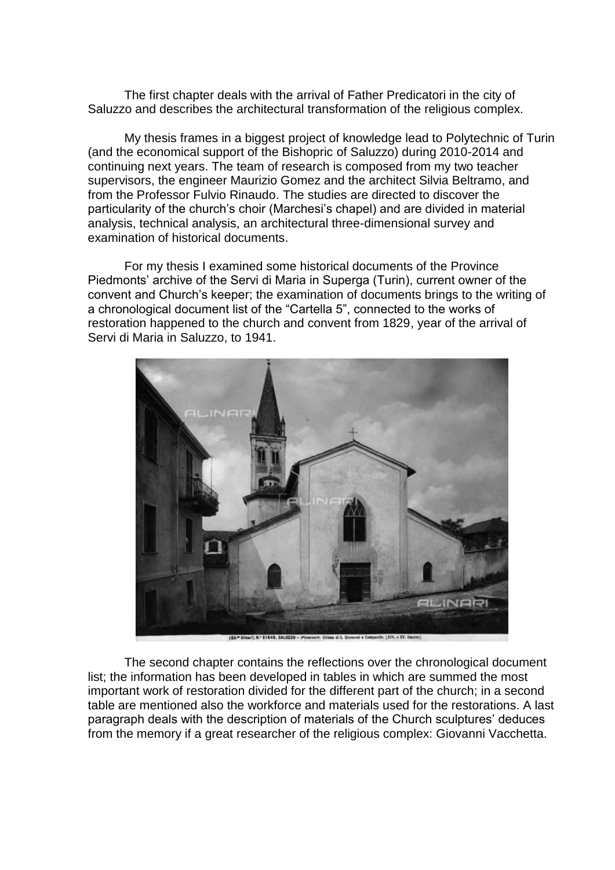The first chapter deals with the arrival of Father Predicatori in the city of Saluzzo and describes the architectural transformation of the religious complex.

My thesis frames in a biggest project of knowledge lead to Polytechnic of Turin (and the economical support of the Bishopric of Saluzzo) during 2010-2014 and continuing next years. The team of research is composed from my two teacher supervisors, the engineer Maurizio Gomez and the architect Silvia Beltramo, and from the Professor Fulvio Rinaudo. The studies are directed to discover the particularity of the church's choir (Marchesi's chapel) and are divided in material analysis, technical analysis, an architectural three-dimensional survey and examination of historical documents.

For my thesis I examined some historical documents of the Province Piedmonts' archive of the Servi di Maria in Superga (Turin), current owner of the convent and Church's keeper; the examination of documents brings to the writing of a chronological document list of the "Cartella 5", connected to the works of restoration happened to the church and convent from 1829, year of the arrival of Servi di Maria in Saluzzo, to 1941.



(art) N.º 31545, SALUZZO - Piemonete, Chiesa di S. Gipsanni e Campanile, (31V, a XV, Suiste)

The second chapter contains the reflections over the chronological document list; the information has been developed in tables in which are summed the most important work of restoration divided for the different part of the church; in a second table are mentioned also the workforce and materials used for the restorations. A last paragraph deals with the description of materials of the Church sculptures' deduces from the memory if a great researcher of the religious complex: Giovanni Vacchetta.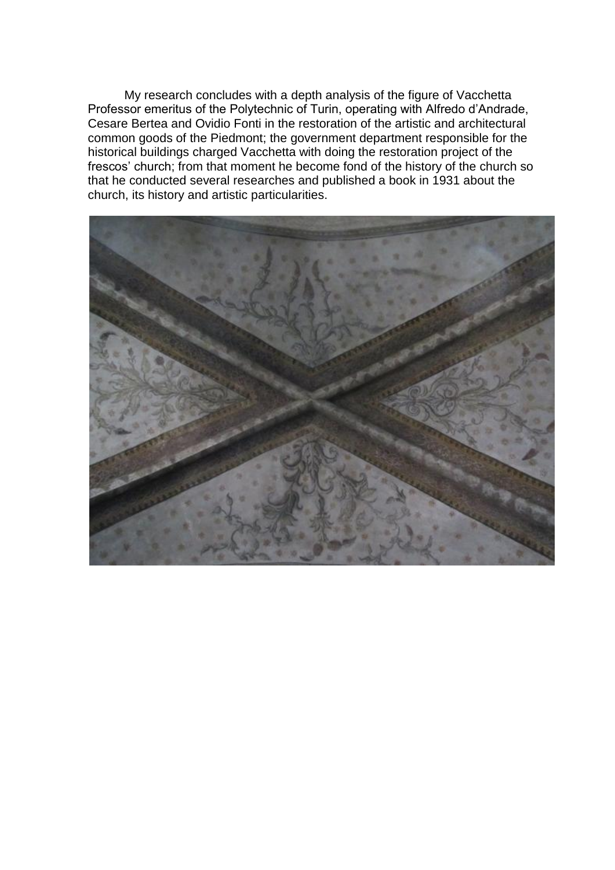My research concludes with a depth analysis of the figure of Vacchetta Professor emeritus of the Polytechnic of Turin, operating with Alfredo d'Andrade, Cesare Bertea and Ovidio Fonti in the restoration of the artistic and architectural common goods of the Piedmont; the government department responsible for the historical buildings charged Vacchetta with doing the restoration project of the frescos' church; from that moment he become fond of the history of the church so that he conducted several researches and published a book in 1931 about the church, its history and artistic particularities.